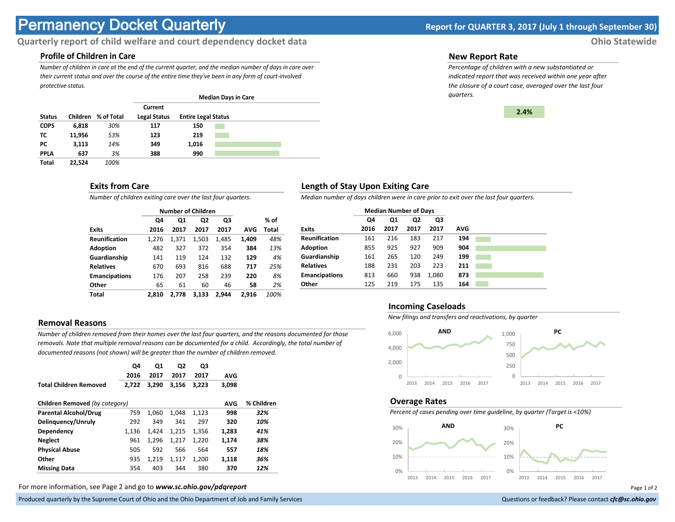# **Permanency Docket Quarterly Report for QUARTER 3, 2017 (July 1 through September 30)**

# **Quarterly report of child welfare and court dependency docket data Ohio Statewide**

# **Profile of Children in Care**

*Number of children in care at the end of the current quarter, and the median number of days in care over their current status and over the course of the entire time they've been in any form of court-involved protective status.*

|               |          |            |                     |                            | <b>Median Days in Care</b> |  |
|---------------|----------|------------|---------------------|----------------------------|----------------------------|--|
|               |          |            | Current             |                            |                            |  |
| <b>Status</b> | Children | % of Total | <b>Legal Status</b> | <b>Entire Legal Status</b> |                            |  |
| <b>COPS</b>   | 6,818    | 30%        | 117                 | 150                        |                            |  |
| тс            | 11,956   | 53%        | 123                 | 219                        |                            |  |
| PC            | 3,113    | 14%        | 349                 | 1,016                      |                            |  |
| <b>PPLA</b>   | 637      | 3%         | 388                 | 990                        |                            |  |
| <b>Total</b>  | 22.524   | 100%       |                     |                            |                            |  |

## **Exits from Care**

*Number of children exiting care over the last four quarters.*

|                      |       | <b>Number of Children</b> |                |       |       |       |
|----------------------|-------|---------------------------|----------------|-------|-------|-------|
|                      | Q4    | Q1                        | Q <sub>2</sub> | Q3    |       | % of  |
| <b>Exits</b>         | 2016  | 2017                      | 2017           | 2017  | AVG   | Total |
| <b>Reunification</b> | 1.276 | 1,371                     | 1,503          | 1.485 | 1,409 | 48%   |
| <b>Adoption</b>      | 482   | 327                       | 372            | 354   | 384   | 13%   |
| Guardianship         | 141   | 119                       | 124            | 132   | 129   | 4%    |
| <b>Relatives</b>     | 670   | 693                       | 816            | 688   | 717   | 25%   |
| <b>Emancipations</b> | 176   | 207                       | 258            | 239   | 220   | 8%    |
| Other                | 65    | 61                        | 60             | 46    | 58    | 2%    |
| Total                | 2.810 | 2.778                     | 3.133          | 2.944 | 2.916 | 100%  |

# **Removal Reasons**

*Number of children removed from their homes over the last four quarters, and the reasons documented for those removals. Note that multiple removal reasons can be documented for a child. Accordingly, the total number of documented reasons (not shown) will be greater than the number of children removed.* 

| <b>Total Children Removed</b>  | Q4<br>2016<br>2.722 | Q1<br>2017<br>3.290 | Q2<br>2017<br>3,156 | Q3<br>2017<br>3.223 | <b>AVG</b><br>3,098 |            |
|--------------------------------|---------------------|---------------------|---------------------|---------------------|---------------------|------------|
|                                |                     |                     |                     |                     |                     |            |
| Children Removed (by category) |                     |                     |                     |                     | AVG                 | % Children |
| <b>Parental Alcohol/Drug</b>   | 759                 | 1.060               | 1,048               | 1,123               | 998                 | 32%        |
| Delinguency/Unruly             | 292                 | 349                 | 341                 | 297                 | 320                 | 10%        |
| Dependency                     | 1.136               | 1.424               | 1.215               | 1,356               | 1.283               | 41%        |
| <b>Neglect</b>                 | 961                 | 1.296               | 1.217               | 1.220               | 1.174               | 38%        |
| <b>Physical Abuse</b>          | 505                 | 592                 | 566                 | 564                 | 557                 | 18%        |
| Other                          | 935                 | 1.219               | 1,117               | 1,200               | 1,118               | 36%        |
| <b>Missing Data</b>            | 354                 | 403                 | 344                 | 380                 | 370                 | 12%        |

For more information, see Page 2 and go to *www.sc.ohio.gov/pdqreport* Page 1 of 2

Produced quarterly by the Supreme Court of Ohio and the Ohio Department of Job and Family Services **Department** of *Services* Court of Ohio and the Ohio Department of Job and Family Services **Communist Court of Court of Co** 

#### **New Report Rate**

*Percentage of children with a new substantiated or indicated report that was received within one year after the closure of a court case, averaged over the last four quarters.*



## **Length of Stay Upon Exiting Care**

*Median number of days children were in care prior to exit over the last four quarters.*

|                      | <b>Median Number of Days</b> |      |      |       |            |  |
|----------------------|------------------------------|------|------|-------|------------|--|
|                      | Q4                           | Q1   | Q2   | Q3    |            |  |
| <b>Exits</b>         | 2016                         | 2017 | 2017 | 2017  | <b>AVG</b> |  |
| <b>Reunification</b> | 161                          | 216  | 183  | 217   | 194        |  |
| <b>Adoption</b>      | 855                          | 925  | 927  | 909   | 904        |  |
| Guardianship         | 161                          | 265  | 120  | 249   | 199        |  |
| <b>Relatives</b>     | 188                          | 231  | 203  | 223   | 211        |  |
| <b>Emancipations</b> | 813                          | 660  | 938  | 1,080 | 873        |  |
| Other                | 125                          | 219  | 175  | 135   | 164        |  |

#### **Incoming Caseloads**

*New filings and transfers and reactivations, by quarter*



#### **Overage Rates**

*Percent of cases pending over time guideline, by quarter (Target is <10%)*